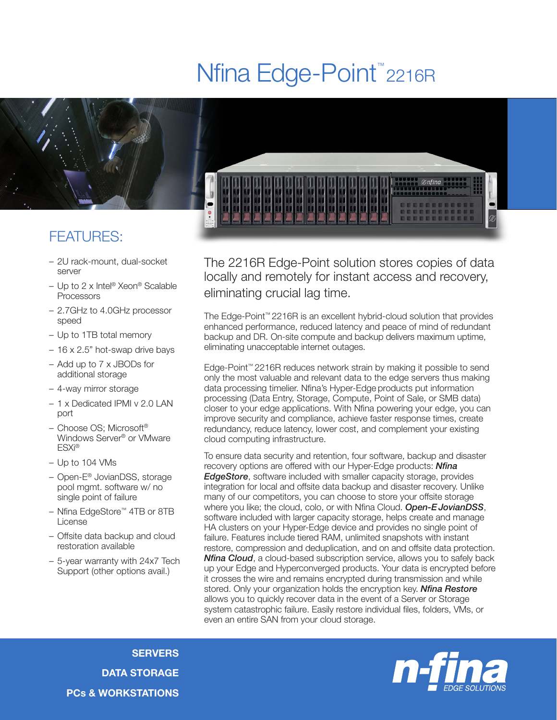## Nfina Edge-Point<sup>™</sup>2216R



## FEATURES:

- 2U rack-mount, dual-socket server
- Up to 2 x Intel® Xeon® Scalable Processors
- 2.7GHz to 4.0GHz processor speed
- Up to 1TB total memory
- 16 x 2.5" hot-swap drive bays
- Add up to 7 x JBODs for additional storage
- 4-way mirror storage
- 1 x Dedicated IPMI v 2.0 LAN port
- Choose OS; Microsoft® Windows Server® or VMware ESXi®
- Up to 104 VMs
- Open-E® JovianDSS, storage pool mgmt. software w/ no single point of failure
- Nfina EdgeStore™ 4TB or 8TB License
- Offsite data backup and cloud restoration available
- 5-year warranty with 24x7 Tech Support (other options avail.)

The 2216R Edge-Point solution stores copies of data locally and remotely for instant access and recovery, eliminating crucial lag time.

The Edge-Point™ 2216R is an excellent hybrid-cloud solution that provides enhanced performance, reduced latency and peace of mind of redundant backup and DR. On-site compute and backup delivers maximum uptime, eliminating unacceptable internet outages.

Edge-Point™ 2216R reduces network strain by making it possible to send only the most valuable and relevant data to the edge servers thus making data processing timelier. Nfina's Hyper-Edge products put information processing (Data Entry, Storage, Compute, Point of Sale, or SMB data) closer to your edge applications. With Nfina powering your edge, you can improve security and compliance, achieve faster response times, create redundancy, reduce latency, lower cost, and complement your existing cloud computing infrastructure.

To ensure data security and retention, four software, backup and disaster recovery options are offered with our Hyper-Edge products: *Nfina EdgeStore*, software included with smaller capacity storage, provides integration for local and offsite data backup and disaster recovery. Unlike many of our competitors, you can choose to store your offsite storage where you like; the cloud, colo, or with Nfina Cloud. *Open-EJovianDSS*, software included with larger capacity storage, helps create and manage HA clusters on your Hyper-Edge device and provides no single point of failure. Features include tiered RAM, unlimited snapshots with instant restore, compression and deduplication, and on and offsite data protection. *Nfina Cloud*, a cloud-based subscription service, allows you to safely back up your Edge and Hyperconverged products. Your data is encrypted before it crosses the wire and remains encrypted during transmission and while stored. Only your organization holds the encryption key. *Nfina Restore* allows you to quickly recover data in the event of a Server or Storage system catastrophic failure. Easily restore individual files, folders, VMs, or even an entire SAN from your cloud storage.

**SERVERS** DATA STORAGE PCs & WORKSTATIONS

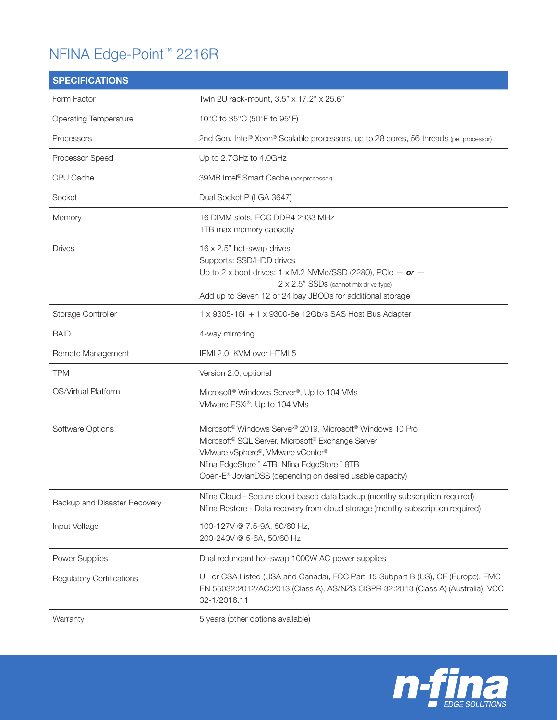## NFINA Edge-Point™ 2216R

| <b>SPECIFICATIONS</b>            |                                                                                                                                                                                                                                                                                                                                       |
|----------------------------------|---------------------------------------------------------------------------------------------------------------------------------------------------------------------------------------------------------------------------------------------------------------------------------------------------------------------------------------|
| Form Factor                      | Twin 2U rack-mount, 3.5" x 17.2" x 25.6"                                                                                                                                                                                                                                                                                              |
| <b>Operating Temperature</b>     | 10°C to 35°C (50°F to 95°F)                                                                                                                                                                                                                                                                                                           |
| Processors                       | 2nd Gen. Intel® Xeon® Scalable processors, up to 28 cores, 56 threads (per processor)                                                                                                                                                                                                                                                 |
| Processor Speed                  | Up to 2.7GHz to 4.0GHz                                                                                                                                                                                                                                                                                                                |
| CPU Cache                        | 39MB Intel® Smart Cache (per processor)                                                                                                                                                                                                                                                                                               |
| Socket                           | Dual Socket P (LGA 3647)                                                                                                                                                                                                                                                                                                              |
| Memory                           | 16 DIMM slots, ECC DDR4 2933 MHz<br>1TB max memory capacity                                                                                                                                                                                                                                                                           |
| <b>Drives</b>                    | 16 x 2.5" hot-swap drives<br>Supports: SSD/HDD drives<br>Up to 2 x boot drives: 1 x M.2 NVMe/SSD (2280), PCIe $-$ or $-$<br>2 x 2.5" SSDs (cannot mix drive type)<br>Add up to Seven 12 or 24 bay JBODs for additional storage                                                                                                        |
| Storage Controller               | 1 x 9305-16i + 1 x 9300-8e 12Gb/s SAS Host Bus Adapter                                                                                                                                                                                                                                                                                |
| <b>RAID</b>                      | 4-way mirroring                                                                                                                                                                                                                                                                                                                       |
| Remote Management                | IPMI 2.0, KVM over HTML5                                                                                                                                                                                                                                                                                                              |
| <b>TPM</b>                       | Version 2.0, optional                                                                                                                                                                                                                                                                                                                 |
| OS/Virtual Platform              | Microsoft <sup>®</sup> Windows Server <sup>®</sup> , Up to 104 VMs<br>VMware ESXi®, Up to 104 VMs                                                                                                                                                                                                                                     |
| Software Options                 | Microsoft <sup>®</sup> Windows Server <sup>®</sup> 2019, Microsoft <sup>®</sup> Windows 10 Pro<br>Microsoft <sup>®</sup> SQL Server, Microsoft <sup>®</sup> Exchange Server<br>VMware vSphere®, VMware vCenter®<br>Nfina EdgeStore™ 4TB, Nfina EdgeStore™ 8TB<br>Open-E <sup>®</sup> JovianDSS (depending on desired usable capacity) |
| Backup and Disaster Recovery     | Nfina Cloud - Secure cloud based data backup (monthy subscription required)<br>Nfina Restore - Data recovery from cloud storage (monthy subscription required)                                                                                                                                                                        |
| Input Voltage                    | 100-127V @ 7.5-9A, 50/60 Hz,<br>200-240V @ 5-6A, 50/60 Hz                                                                                                                                                                                                                                                                             |
| Power Supplies                   | Dual redundant hot-swap 1000W AC power supplies                                                                                                                                                                                                                                                                                       |
| <b>Regulatory Certifications</b> | UL or CSA Listed (USA and Canada), FCC Part 15 Subpart B (US), CE (Europe), EMC<br>EN 55032:2012/AC:2013 (Class A), AS/NZS CISPR 32:2013 (Class A) (Australia), VCC<br>32-1/2016.11                                                                                                                                                   |
| Warranty                         | 5 years (other options available)                                                                                                                                                                                                                                                                                                     |